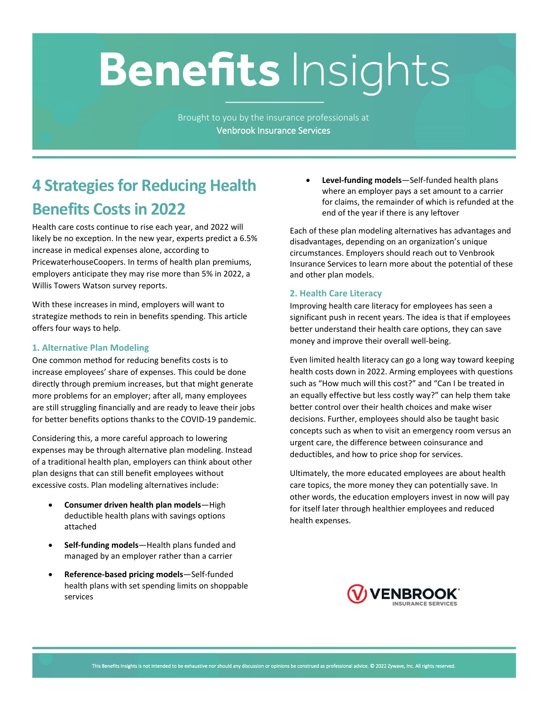# **Benefits Insights**

Brought to you by the insurance professionals at **Venbrook Insurance Services**

# **4 Strategies for Reducing Health Benefits Costs in 2022**

Health care costs continue to rise each year, and 2022 will likely be no exception. In the new year, experts predict a 6.5% increase in medical expenses alone, according to PricewaterhouseCoopers. In terms of health plan premiums, employers anticipate they may rise more than 5% in 2022, a Willis Towers Watson survey reports.

With these increases in mind, employers will want to strategize methods to rein in benefits spending. This article offers four ways to help.

# **1. Alternative Plan Modeling**

One common method for reducing benefits costs is to increase employees' share of expenses. This could be done directly through premium increases, but that might generate more problems for an employer; after all, many employees are still struggling financially and are ready to leave their jobs for better benefits options thanks to the COVID-19 pandemic.

Considering this, a more careful approach to lowering expenses may be through alternative plan modeling. Instead of a traditional health plan, employers can think about other plan designs that can still benefit employees without excessive costs. Plan modeling alternatives include:

- **Consumer driven health plan models**—High deductible health plans with savings options attached
- **Self-funding models**—Health plans funded and managed by an employer rather than a carrier
- **Reference-based pricing models**—Self-funded health plans with set spending limits on shoppable services

• **Level-funding models**—Self-funded health plans where an employer pays a set amount to a carrier for claims, the remainder of which is refunded at the end of the year if there is any leftover

Each of these plan modeling alternatives has advantages and disadvantages, depending on an organization's unique circumstances. Employers should reach out to Venbrook Insurance Services to learn more about the potential of these and other plan models.

# **2. Health Care Literacy**

Improving health care literacy for employees has seen a significant push in recent years. The idea is that if employees better understand their health care options, they can save money and improve their overall well-being.

Even limited health literacy can go a long way toward keeping health costs down in 2022. Arming employees with questions such as "How much will this cost?" and "Can I be treated in an equally effective but less costly way?" can help them take better control over their health choices and make wiser decisions. Further, employees should also be taught basic concepts such as when to visit an emergency room versus an urgent care, the difference between coinsurance and deductibles, and how to price shop for services.

Ultimately, the more educated employees are about health care topics, the more money they can potentially save. In other words, the education employers invest in now will pay for itself later through healthier employees and reduced health expenses.